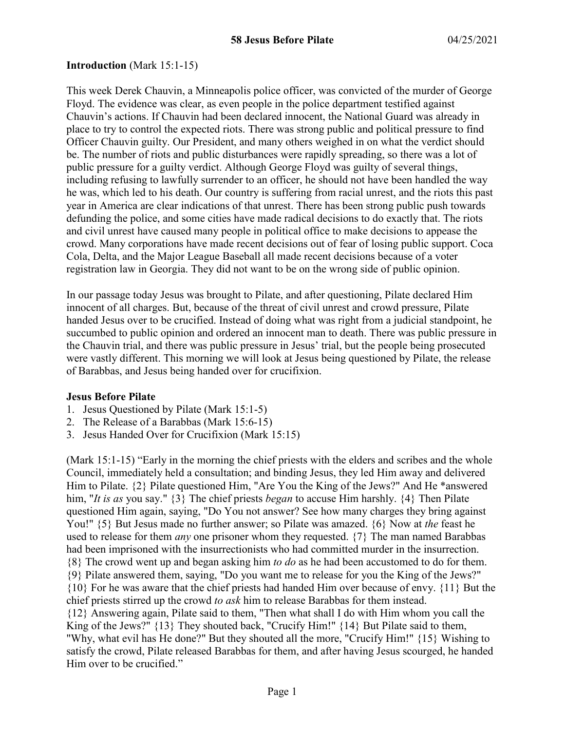#### **Introduction** (Mark 15:1-15)

This week Derek Chauvin, a Minneapolis police officer, was convicted of the murder of George Floyd. The evidence was clear, as even people in the police department testified against Chauvin's actions. If Chauvin had been declared innocent, the National Guard was already in place to try to control the expected riots. There was strong public and political pressure to find Officer Chauvin guilty. Our President, and many others weighed in on what the verdict should be. The number of riots and public disturbances were rapidly spreading, so there was a lot of public pressure for a guilty verdict. Although George Floyd was guilty of several things, including refusing to lawfully surrender to an officer, he should not have been handled the way he was, which led to his death. Our country is suffering from racial unrest, and the riots this past year in America are clear indications of that unrest. There has been strong public push towards defunding the police, and some cities have made radical decisions to do exactly that. The riots and civil unrest have caused many people in political office to make decisions to appease the crowd. Many corporations have made recent decisions out of fear of losing public support. Coca Cola, Delta, and the Major League Baseball all made recent decisions because of a voter registration law in Georgia. They did not want to be on the wrong side of public opinion.

In our passage today Jesus was brought to Pilate, and after questioning, Pilate declared Him innocent of all charges. But, because of the threat of civil unrest and crowd pressure, Pilate handed Jesus over to be crucified. Instead of doing what was right from a judicial standpoint, he succumbed to public opinion and ordered an innocent man to death. There was public pressure in the Chauvin trial, and there was public pressure in Jesus' trial, but the people being prosecuted were vastly different. This morning we will look at Jesus being questioned by Pilate, the release of Barabbas, and Jesus being handed over for crucifixion.

#### **Jesus Before Pilate**

- 1. Jesus Questioned by Pilate (Mark 15:1-5)
- 2. The Release of a Barabbas (Mark 15:6-15)
- 3. Jesus Handed Over for Crucifixion (Mark 15:15)

(Mark 15:1-15) "Early in the morning the chief priests with the elders and scribes and the whole Council, immediately held a consultation; and binding Jesus, they led Him away and delivered Him to Pilate. {2} Pilate questioned Him, "Are You the King of the Jews?" And He \*answered him, "*It is as* you say." {3} The chief priests *began* to accuse Him harshly. {4} Then Pilate questioned Him again, saying, "Do You not answer? See how many charges they bring against You!" {5} But Jesus made no further answer; so Pilate was amazed. {6} Now at *the* feast he used to release for them *any* one prisoner whom they requested. {7} The man named Barabbas had been imprisoned with the insurrectionists who had committed murder in the insurrection. {8} The crowd went up and began asking him *to do* as he had been accustomed to do for them. {9} Pilate answered them, saying, "Do you want me to release for you the King of the Jews?" {10} For he was aware that the chief priests had handed Him over because of envy. {11} But the chief priests stirred up the crowd *to ask* him to release Barabbas for them instead. {12} Answering again, Pilate said to them, "Then what shall I do with Him whom you call the King of the Jews?" {13} They shouted back, "Crucify Him!" {14} But Pilate said to them, "Why, what evil has He done?" But they shouted all the more, "Crucify Him!" {15} Wishing to satisfy the crowd, Pilate released Barabbas for them, and after having Jesus scourged, he handed Him over to be crucified."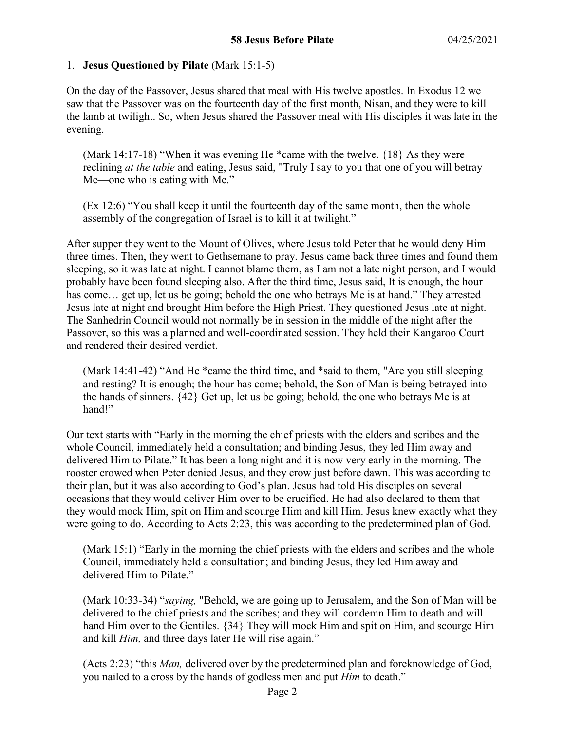### 1. **Jesus Questioned by Pilate** (Mark 15:1-5)

On the day of the Passover, Jesus shared that meal with His twelve apostles. In Exodus 12 we saw that the Passover was on the fourteenth day of the first month, Nisan, and they were to kill the lamb at twilight. So, when Jesus shared the Passover meal with His disciples it was late in the evening.

(Mark 14:17-18) "When it was evening He \*came with the twelve.  $\{18\}$  As they were reclining *at the table* and eating, Jesus said, "Truly I say to you that one of you will betray Me—one who is eating with Me."

(Ex 12:6) "You shall keep it until the fourteenth day of the same month, then the whole assembly of the congregation of Israel is to kill it at twilight."

After supper they went to the Mount of Olives, where Jesus told Peter that he would deny Him three times. Then, they went to Gethsemane to pray. Jesus came back three times and found them sleeping, so it was late at night. I cannot blame them, as I am not a late night person, and I would probably have been found sleeping also. After the third time, Jesus said, It is enough, the hour has come... get up, let us be going; behold the one who betrays Me is at hand." They arrested Jesus late at night and brought Him before the High Priest. They questioned Jesus late at night. The Sanhedrin Council would not normally be in session in the middle of the night after the Passover, so this was a planned and well-coordinated session. They held their Kangaroo Court and rendered their desired verdict.

(Mark 14:41-42) "And He \*came the third time, and \*said to them, "Are you still sleeping and resting? It is enough; the hour has come; behold, the Son of Man is being betrayed into the hands of sinners. {42} Get up, let us be going; behold, the one who betrays Me is at hand!"

Our text starts with "Early in the morning the chief priests with the elders and scribes and the whole Council, immediately held a consultation; and binding Jesus, they led Him away and delivered Him to Pilate." It has been a long night and it is now very early in the morning. The rooster crowed when Peter denied Jesus, and they crow just before dawn. This was according to their plan, but it was also according to God's plan. Jesus had told His disciples on several occasions that they would deliver Him over to be crucified. He had also declared to them that they would mock Him, spit on Him and scourge Him and kill Him. Jesus knew exactly what they were going to do. According to Acts 2:23, this was according to the predetermined plan of God.

(Mark 15:1) "Early in the morning the chief priests with the elders and scribes and the whole Council, immediately held a consultation; and binding Jesus, they led Him away and delivered Him to Pilate."

(Mark 10:33-34) "*saying,* "Behold, we are going up to Jerusalem, and the Son of Man will be delivered to the chief priests and the scribes; and they will condemn Him to death and will hand Him over to the Gentiles. {34} They will mock Him and spit on Him, and scourge Him and kill *Him,* and three days later He will rise again."

(Acts 2:23) "this *Man,* delivered over by the predetermined plan and foreknowledge of God, you nailed to a cross by the hands of godless men and put *Him* to death."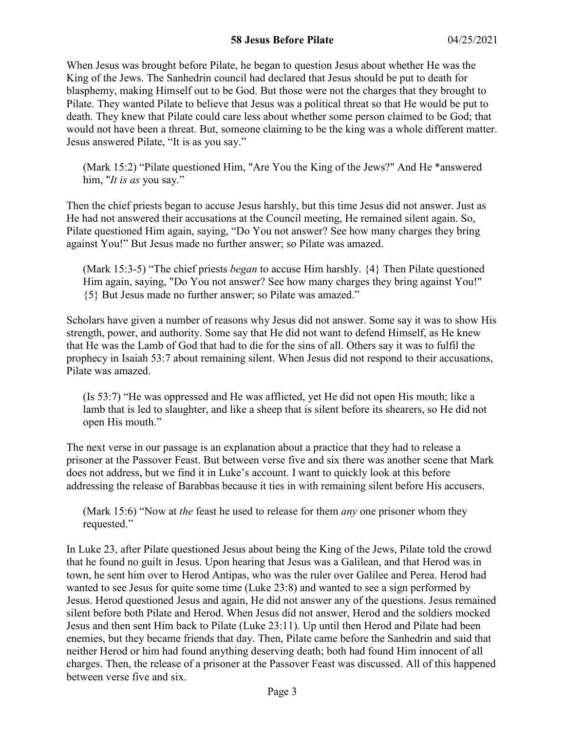### **58 Jesus Before Pilate** 04/25/2021

When Jesus was brought before Pilate, he began to question Jesus about whether He was the King of the Jews. The Sanhedrin council had declared that Jesus should be put to death for blasphemy, making Himself out to be God. But those were not the charges that they brought to Pilate. They wanted Pilate to believe that Jesus was a political threat so that He would be put to death. They knew that Pilate could care less about whether some person claimed to be God; that would not have been a threat. But, someone claiming to be the king was a whole different matter. Jesus answered Pilate, "It is as you say."

(Mark 15:2) "Pilate questioned Him, "Are You the King of the Jews?" And He \*answered him, "*It is as* you say."

Then the chief priests began to accuse Jesus harshly, but this time Jesus did not answer. Just as He had not answered their accusations at the Council meeting, He remained silent again. So, Pilate questioned Him again, saying, "Do You not answer? See how many charges they bring against You!" But Jesus made no further answer; so Pilate was amazed.

(Mark 15:3-5) "The chief priests *began* to accuse Him harshly. {4} Then Pilate questioned Him again, saying, "Do You not answer? See how many charges they bring against You!" {5} But Jesus made no further answer; so Pilate was amazed."

Scholars have given a number of reasons why Jesus did not answer. Some say it was to show His strength, power, and authority. Some say that He did not want to defend Himself, as He knew that He was the Lamb of God that had to die for the sins of all. Others say it was to fulfil the prophecy in Isaiah 53:7 about remaining silent. When Jesus did not respond to their accusations, Pilate was amazed.

(Is 53:7) "He was oppressed and He was afflicted, yet He did not open His mouth; like a lamb that is led to slaughter, and like a sheep that is silent before its shearers, so He did not open His mouth."

The next verse in our passage is an explanation about a practice that they had to release a prisoner at the Passover Feast. But between verse five and six there was another scene that Mark does not address, but we find it in Luke's account. I want to quickly look at this before addressing the release of Barabbas because it ties in with remaining silent before His accusers.

(Mark 15:6) "Now at *the* feast he used to release for them *any* one prisoner whom they requested."

In Luke 23, after Pilate questioned Jesus about being the King of the Jews, Pilate told the crowd that he found no guilt in Jesus. Upon hearing that Jesus was a Galilean, and that Herod was in town, he sent him over to Herod Antipas, who was the ruler over Galilee and Perea. Herod had wanted to see Jesus for quite some time (Luke 23:8) and wanted to see a sign performed by Jesus. Herod questioned Jesus and again, He did not answer any of the questions. Jesus remained silent before both Pilate and Herod. When Jesus did not answer, Herod and the soldiers mocked Jesus and then sent Him back to Pilate (Luke 23:11). Up until then Herod and Pilate had been enemies, but they became friends that day. Then, Pilate came before the Sanhedrin and said that neither Herod or him had found anything deserving death; both had found Him innocent of all charges. Then, the release of a prisoner at the Passover Feast was discussed. All of this happened between verse five and six.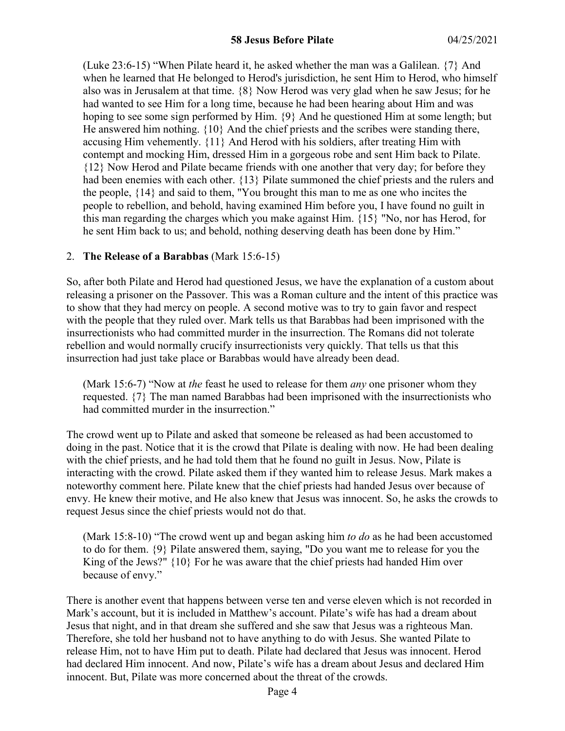(Luke 23:6-15) "When Pilate heard it, he asked whether the man was a Galilean. {7} And when he learned that He belonged to Herod's jurisdiction, he sent Him to Herod, who himself also was in Jerusalem at that time. {8} Now Herod was very glad when he saw Jesus; for he had wanted to see Him for a long time, because he had been hearing about Him and was hoping to see some sign performed by Him. {9} And he questioned Him at some length; but He answered him nothing. {10} And the chief priests and the scribes were standing there, accusing Him vehemently. {11} And Herod with his soldiers, after treating Him with contempt and mocking Him, dressed Him in a gorgeous robe and sent Him back to Pilate. {12} Now Herod and Pilate became friends with one another that very day; for before they had been enemies with each other. {13} Pilate summoned the chief priests and the rulers and the people, {14} and said to them, "You brought this man to me as one who incites the people to rebellion, and behold, having examined Him before you, I have found no guilt in this man regarding the charges which you make against Him. {15} "No, nor has Herod, for he sent Him back to us; and behold, nothing deserving death has been done by Him."

### 2. **The Release of a Barabbas** (Mark 15:6-15)

So, after both Pilate and Herod had questioned Jesus, we have the explanation of a custom about releasing a prisoner on the Passover. This was a Roman culture and the intent of this practice was to show that they had mercy on people. A second motive was to try to gain favor and respect with the people that they ruled over. Mark tells us that Barabbas had been imprisoned with the insurrectionists who had committed murder in the insurrection. The Romans did not tolerate rebellion and would normally crucify insurrectionists very quickly. That tells us that this insurrection had just take place or Barabbas would have already been dead.

(Mark 15:6-7) "Now at *the* feast he used to release for them *any* one prisoner whom they requested. {7} The man named Barabbas had been imprisoned with the insurrectionists who had committed murder in the insurrection."

The crowd went up to Pilate and asked that someone be released as had been accustomed to doing in the past. Notice that it is the crowd that Pilate is dealing with now. He had been dealing with the chief priests, and he had told them that he found no guilt in Jesus. Now, Pilate is interacting with the crowd. Pilate asked them if they wanted him to release Jesus. Mark makes a noteworthy comment here. Pilate knew that the chief priests had handed Jesus over because of envy. He knew their motive, and He also knew that Jesus was innocent. So, he asks the crowds to request Jesus since the chief priests would not do that.

(Mark 15:8-10) "The crowd went up and began asking him *to do* as he had been accustomed to do for them. {9} Pilate answered them, saying, "Do you want me to release for you the King of the Jews?"  $\{10\}$  For he was aware that the chief priests had handed Him over because of envy."

There is another event that happens between verse ten and verse eleven which is not recorded in Mark's account, but it is included in Matthew's account. Pilate's wife has had a dream about Jesus that night, and in that dream she suffered and she saw that Jesus was a righteous Man. Therefore, she told her husband not to have anything to do with Jesus. She wanted Pilate to release Him, not to have Him put to death. Pilate had declared that Jesus was innocent. Herod had declared Him innocent. And now, Pilate's wife has a dream about Jesus and declared Him innocent. But, Pilate was more concerned about the threat of the crowds.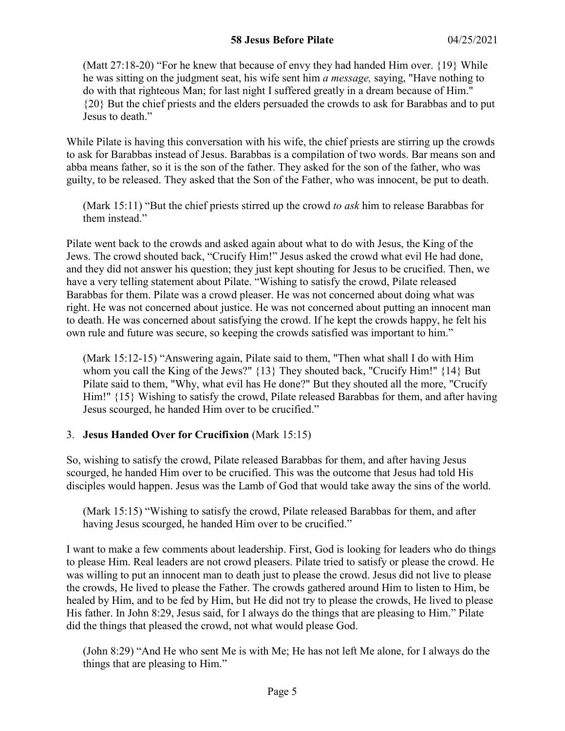### **58 Jesus Before Pilate** 04/25/2021

(Matt  $27:18-20$ ) "For he knew that because of envy they had handed Him over.  $\{19\}$  While he was sitting on the judgment seat, his wife sent him *a message,* saying, "Have nothing to do with that righteous Man; for last night I suffered greatly in a dream because of Him." {20} But the chief priests and the elders persuaded the crowds to ask for Barabbas and to put Jesus to death."

While Pilate is having this conversation with his wife, the chief priests are stirring up the crowds to ask for Barabbas instead of Jesus. Barabbas is a compilation of two words. Bar means son and abba means father, so it is the son of the father. They asked for the son of the father, who was guilty, to be released. They asked that the Son of the Father, who was innocent, be put to death.

(Mark 15:11) "But the chief priests stirred up the crowd *to ask* him to release Barabbas for them instead."

Pilate went back to the crowds and asked again about what to do with Jesus, the King of the Jews. The crowd shouted back, "Crucify Him!" Jesus asked the crowd what evil He had done, and they did not answer his question; they just kept shouting for Jesus to be crucified. Then, we have a very telling statement about Pilate. "Wishing to satisfy the crowd, Pilate released Barabbas for them. Pilate was a crowd pleaser. He was not concerned about doing what was right. He was not concerned about justice. He was not concerned about putting an innocent man to death. He was concerned about satisfying the crowd. If he kept the crowds happy, he felt his own rule and future was secure, so keeping the crowds satisfied was important to him."

(Mark 15:12-15) "Answering again, Pilate said to them, "Then what shall I do with Him whom you call the King of the Jews?" {13} They shouted back, "Crucify Him!" {14} But Pilate said to them, "Why, what evil has He done?" But they shouted all the more, "Crucify Him!" {15} Wishing to satisfy the crowd, Pilate released Barabbas for them, and after having Jesus scourged, he handed Him over to be crucified."

### 3. **Jesus Handed Over for Crucifixion** (Mark 15:15)

So, wishing to satisfy the crowd, Pilate released Barabbas for them, and after having Jesus scourged, he handed Him over to be crucified. This was the outcome that Jesus had told His disciples would happen. Jesus was the Lamb of God that would take away the sins of the world.

(Mark 15:15) "Wishing to satisfy the crowd, Pilate released Barabbas for them, and after having Jesus scourged, he handed Him over to be crucified."

I want to make a few comments about leadership. First, God is looking for leaders who do things to please Him. Real leaders are not crowd pleasers. Pilate tried to satisfy or please the crowd. He was willing to put an innocent man to death just to please the crowd. Jesus did not live to please the crowds, He lived to please the Father. The crowds gathered around Him to listen to Him, be healed by Him, and to be fed by Him, but He did not try to please the crowds, He lived to please His father. In John 8:29, Jesus said, for I always do the things that are pleasing to Him." Pilate did the things that pleased the crowd, not what would please God.

(John 8:29) "And He who sent Me is with Me; He has not left Me alone, for I always do the things that are pleasing to Him."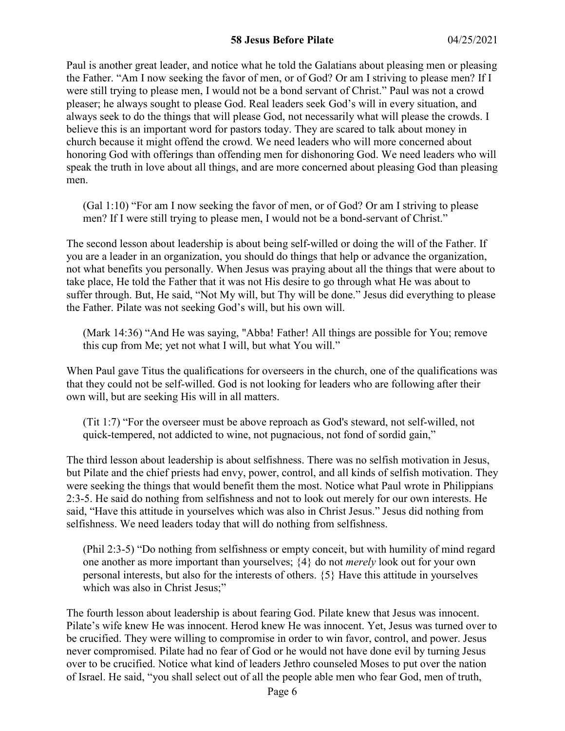### **58 Jesus Before Pilate** 04/25/2021

Paul is another great leader, and notice what he told the Galatians about pleasing men or pleasing the Father. "Am I now seeking the favor of men, or of God? Or am I striving to please men? If I were still trying to please men, I would not be a bond servant of Christ." Paul was not a crowd pleaser; he always sought to please God. Real leaders seek God's will in every situation, and always seek to do the things that will please God, not necessarily what will please the crowds. I believe this is an important word for pastors today. They are scared to talk about money in church because it might offend the crowd. We need leaders who will more concerned about honoring God with offerings than offending men for dishonoring God. We need leaders who will speak the truth in love about all things, and are more concerned about pleasing God than pleasing men.

(Gal 1:10) "For am I now seeking the favor of men, or of God? Or am I striving to please men? If I were still trying to please men, I would not be a bond-servant of Christ."

The second lesson about leadership is about being self-willed or doing the will of the Father. If you are a leader in an organization, you should do things that help or advance the organization, not what benefits you personally. When Jesus was praying about all the things that were about to take place, He told the Father that it was not His desire to go through what He was about to suffer through. But, He said, "Not My will, but Thy will be done." Jesus did everything to please the Father. Pilate was not seeking God's will, but his own will.

(Mark 14:36) "And He was saying, "Abba! Father! All things are possible for You; remove this cup from Me; yet not what I will, but what You will."

When Paul gave Titus the qualifications for overseers in the church, one of the qualifications was that they could not be self-willed. God is not looking for leaders who are following after their own will, but are seeking His will in all matters.

(Tit 1:7) "For the overseer must be above reproach as God's steward, not self-willed, not quick-tempered, not addicted to wine, not pugnacious, not fond of sordid gain,"

The third lesson about leadership is about selfishness. There was no selfish motivation in Jesus, but Pilate and the chief priests had envy, power, control, and all kinds of selfish motivation. They were seeking the things that would benefit them the most. Notice what Paul wrote in Philippians 2:3-5. He said do nothing from selfishness and not to look out merely for our own interests. He said, "Have this attitude in yourselves which was also in Christ Jesus." Jesus did nothing from selfishness. We need leaders today that will do nothing from selfishness.

(Phil 2:3-5) "Do nothing from selfishness or empty conceit, but with humility of mind regard one another as more important than yourselves; {4} do not *merely* look out for your own personal interests, but also for the interests of others. {5} Have this attitude in yourselves which was also in Christ Jesus;"

The fourth lesson about leadership is about fearing God. Pilate knew that Jesus was innocent. Pilate's wife knew He was innocent. Herod knew He was innocent. Yet, Jesus was turned over to be crucified. They were willing to compromise in order to win favor, control, and power. Jesus never compromised. Pilate had no fear of God or he would not have done evil by turning Jesus over to be crucified. Notice what kind of leaders Jethro counseled Moses to put over the nation of Israel. He said, "you shall select out of all the people able men who fear God, men of truth,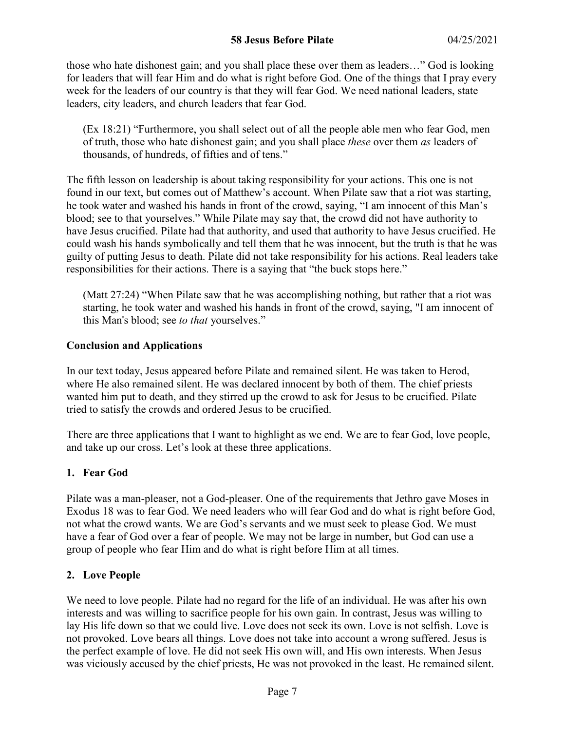those who hate dishonest gain; and you shall place these over them as leaders…" God is looking for leaders that will fear Him and do what is right before God. One of the things that I pray every week for the leaders of our country is that they will fear God. We need national leaders, state leaders, city leaders, and church leaders that fear God.

(Ex 18:21) "Furthermore, you shall select out of all the people able men who fear God, men of truth, those who hate dishonest gain; and you shall place *these* over them *as* leaders of thousands, of hundreds, of fifties and of tens."

The fifth lesson on leadership is about taking responsibility for your actions. This one is not found in our text, but comes out of Matthew's account. When Pilate saw that a riot was starting, he took water and washed his hands in front of the crowd, saying, "I am innocent of this Man's blood; see to that yourselves." While Pilate may say that, the crowd did not have authority to have Jesus crucified. Pilate had that authority, and used that authority to have Jesus crucified. He could wash his hands symbolically and tell them that he was innocent, but the truth is that he was guilty of putting Jesus to death. Pilate did not take responsibility for his actions. Real leaders take responsibilities for their actions. There is a saying that "the buck stops here."

(Matt 27:24) "When Pilate saw that he was accomplishing nothing, but rather that a riot was starting, he took water and washed his hands in front of the crowd, saying, "I am innocent of this Man's blood; see *to that* yourselves."

### **Conclusion and Applications**

In our text today, Jesus appeared before Pilate and remained silent. He was taken to Herod, where He also remained silent. He was declared innocent by both of them. The chief priests wanted him put to death, and they stirred up the crowd to ask for Jesus to be crucified. Pilate tried to satisfy the crowds and ordered Jesus to be crucified.

There are three applications that I want to highlight as we end. We are to fear God, love people, and take up our cross. Let's look at these three applications.

# **1. Fear God**

Pilate was a man-pleaser, not a God-pleaser. One of the requirements that Jethro gave Moses in Exodus 18 was to fear God. We need leaders who will fear God and do what is right before God, not what the crowd wants. We are God's servants and we must seek to please God. We must have a fear of God over a fear of people. We may not be large in number, but God can use a group of people who fear Him and do what is right before Him at all times.

# **2. Love People**

We need to love people. Pilate had no regard for the life of an individual. He was after his own interests and was willing to sacrifice people for his own gain. In contrast, Jesus was willing to lay His life down so that we could live. Love does not seek its own. Love is not selfish. Love is not provoked. Love bears all things. Love does not take into account a wrong suffered. Jesus is the perfect example of love. He did not seek His own will, and His own interests. When Jesus was viciously accused by the chief priests, He was not provoked in the least. He remained silent.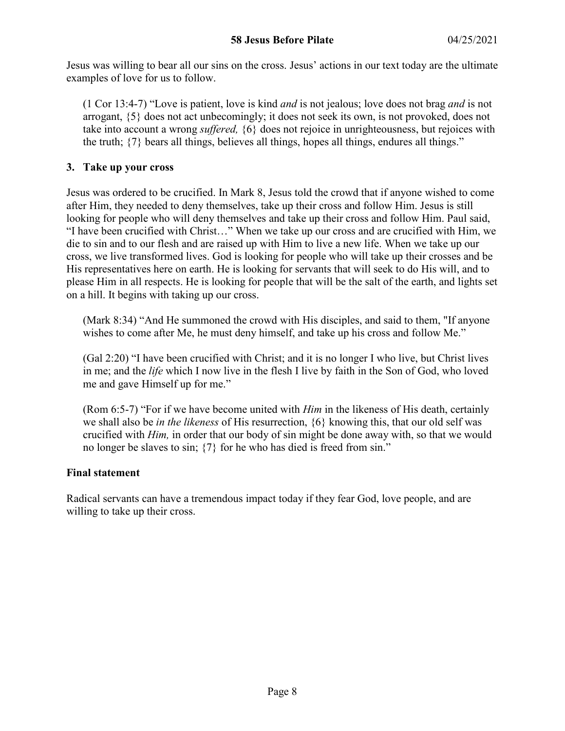Jesus was willing to bear all our sins on the cross. Jesus' actions in our text today are the ultimate examples of love for us to follow.

(1 Cor 13:4-7) "Love is patient, love is kind *and* is not jealous; love does not brag *and* is not arrogant, {5} does not act unbecomingly; it does not seek its own, is not provoked, does not take into account a wrong *suffered,* {6} does not rejoice in unrighteousness, but rejoices with the truth; {7} bears all things, believes all things, hopes all things, endures all things."

#### **3. Take up your cross**

Jesus was ordered to be crucified. In Mark 8, Jesus told the crowd that if anyone wished to come after Him, they needed to deny themselves, take up their cross and follow Him. Jesus is still looking for people who will deny themselves and take up their cross and follow Him. Paul said, "I have been crucified with Christ…" When we take up our cross and are crucified with Him, we die to sin and to our flesh and are raised up with Him to live a new life. When we take up our cross, we live transformed lives. God is looking for people who will take up their crosses and be His representatives here on earth. He is looking for servants that will seek to do His will, and to please Him in all respects. He is looking for people that will be the salt of the earth, and lights set on a hill. It begins with taking up our cross.

(Mark 8:34) "And He summoned the crowd with His disciples, and said to them, "If anyone wishes to come after Me, he must deny himself, and take up his cross and follow Me."

(Gal 2:20) "I have been crucified with Christ; and it is no longer I who live, but Christ lives in me; and the *life* which I now live in the flesh I live by faith in the Son of God, who loved me and gave Himself up for me."

(Rom 6:5-7) "For if we have become united with *Him* in the likeness of His death, certainly we shall also be *in the likeness* of His resurrection, {6} knowing this, that our old self was crucified with *Him,* in order that our body of sin might be done away with, so that we would no longer be slaves to sin; {7} for he who has died is freed from sin."

### **Final statement**

Radical servants can have a tremendous impact today if they fear God, love people, and are willing to take up their cross.